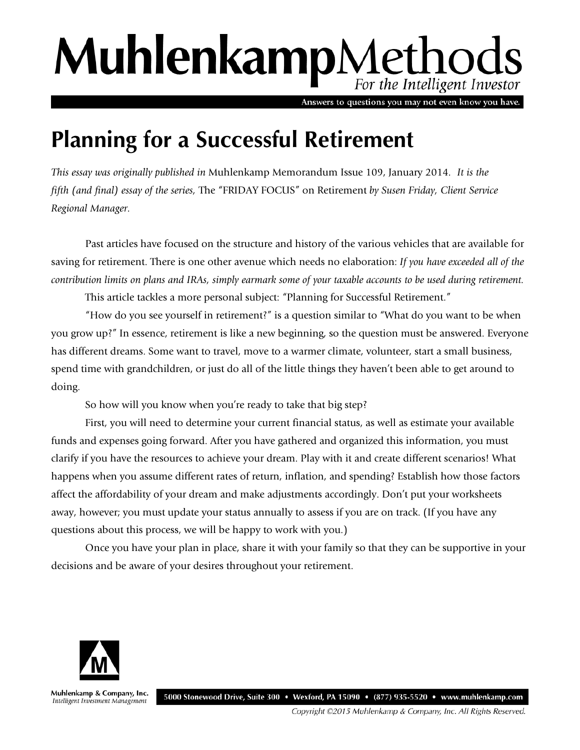# MuhlenkampMethods For the Intelligent Investor

Answers to questions you may not even know you have.

# **Planning for a Successful Retirement**

*This essay was originally published in* Muhlenkamp Memorandum Issue 109, January 2014*. It is the fifth (and final) essay of the series,* The "FRIDAY FOCUS" on Retirement *by Susen Friday, Client Service Regional Manager.*

Past articles have focused on the structure and history of the various vehicles that are available for saving for retirement. There is one other avenue which needs no elaboration: *If you have exceeded all of the contribution limits on plans and IRAs, simply earmark some of your taxable accounts to be used during retirement.*

This article tackles a more personal subject: "Planning for Successful Retirement."

"How do you see yourself in retirement?" is a question similar to "What do you want to be when you grow up?" In essence, retirement is like a new beginning, so the question must be answered. Everyone has different dreams. Some want to travel, move to a warmer climate, volunteer, start a small business, spend time with grandchildren, or just do all of the little things they haven't been able to get around to doing.

So how will you know when you're ready to take that big step?

First, you will need to determine your current financial status, as well as estimate your available funds and expenses going forward. After you have gathered and organized this information, you must clarify if you have the resources to achieve your dream. Play with it and create different scenarios! What happens when you assume different rates of return, inflation, and spending? Establish how those factors affect the affordability of your dream and make adjustments accordingly. Don't put your worksheets away, however; you must update your status annually to assess if you are on track. (If you have any questions about this process, we will be happy to work with you.)

Once you have your plan in place, share it with your family so that they can be supportive in your decisions and be aware of your desires throughout your retirement.



Muhlenkamp & Company, Inc. 5000 Stonewood Drive, Suite 300 • Wexford, PA 15090 • (877) 935-5520 • www.muhlenkamp.com Intelligent Investment Management

Copyright ©2015 Muhlenkamp & Company, Inc. All Rights Reserved.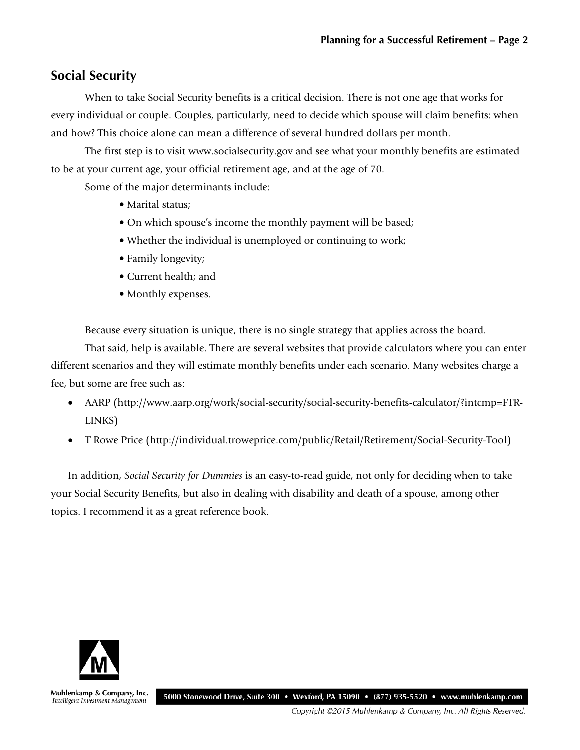### **Social Security**

When to take Social Security benefits is a critical decision. There is not one age that works for every individual or couple. Couples, particularly, need to decide which spouse will claim benefits: when and how? This choice alone can mean a difference of several hundred dollars per month.

The first step is to visit www.socialsecurity.gov and see what your monthly benefits are estimated to be at your current age, your official retirement age, and at the age of 70.

Some of the major determinants include:

- Marital status;
- On which spouse's income the monthly payment will be based;
- Whether the individual is unemployed or continuing to work;
- Family longevity;
- Current health; and
- Monthly expenses.

Because every situation is unique, there is no single strategy that applies across the board.

That said, help is available. There are several websites that provide calculators where you can enter different scenarios and they will estimate monthly benefits under each scenario. Many websites charge a fee, but some are free such as:

- AARP (http://www.aarp.org/work/social-security/social-security-benefits-calculator/?intcmp=FTR-LINKS)
- T Rowe Price (http://individual.troweprice.com/public/Retail/Retirement/Social-Security-Tool)

In addition, *Social Security for Dummies* is an easy-to-read guide, not only for deciding when to take your Social Security Benefits, but also in dealing with disability and death of a spouse, among other topics. I recommend it as a great reference book.



Muhlenkamp & Company, Inc. Intelligent Investment Management

5000 Stonewood Drive, Suite 300 • Wexford, PA 15090 • (877) 935-5520 • www.muhlenkamp.com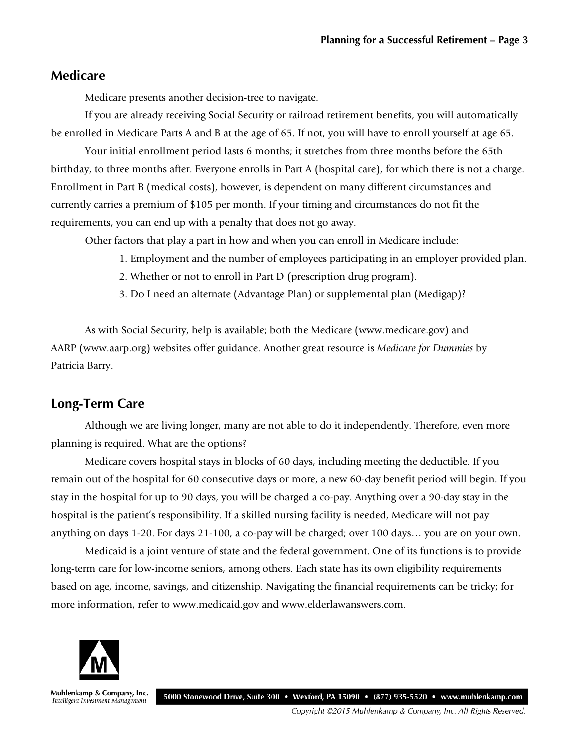#### **Medicare**

Medicare presents another decision-tree to navigate.

If you are already receiving Social Security or railroad retirement benefits, you will automatically be enrolled in Medicare Parts A and B at the age of 65. If not, you will have to enroll yourself at age 65.

Your initial enrollment period lasts 6 months; it stretches from three months before the 65th birthday, to three months after. Everyone enrolls in Part A (hospital care), for which there is not a charge. Enrollment in Part B (medical costs), however, is dependent on many different circumstances and currently carries a premium of \$105 per month. If your timing and circumstances do not fit the requirements, you can end up with a penalty that does not go away.

Other factors that play a part in how and when you can enroll in Medicare include:

- 1. Employment and the number of employees participating in an employer provided plan.
- 2. Whether or not to enroll in Part D (prescription drug program).
- 3. Do I need an alternate (Advantage Plan) or supplemental plan (Medigap)?

As with Social Security, help is available; both the Medicare (www.medicare.gov) and AARP (www.aarp.org) websites offer guidance. Another great resource is *Medicare for Dummies* by Patricia Barry.

## **Long-Term Care**

Although we are living longer, many are not able to do it independently. Therefore, even more planning is required. What are the options?

Medicare covers hospital stays in blocks of 60 days, including meeting the deductible. If you remain out of the hospital for 60 consecutive days or more, a new 60-day benefit period will begin. If you stay in the hospital for up to 90 days, you will be charged a co-pay. Anything over a 90-day stay in the hospital is the patient's responsibility. If a skilled nursing facility is needed, Medicare will not pay anything on days 1-20. For days 21-100, a co-pay will be charged; over 100 days… you are on your own.

Medicaid is a joint venture of state and the federal government. One of its functions is to provide long-term care for low-income seniors, among others. Each state has its own eligibility requirements based on age, income, savings, and citizenship. Navigating the financial requirements can be tricky; for more information, refer to www.medicaid.gov and www.elderlawanswers.com.



Muhlenkamp & Company, Inc. Intelligent Investment Management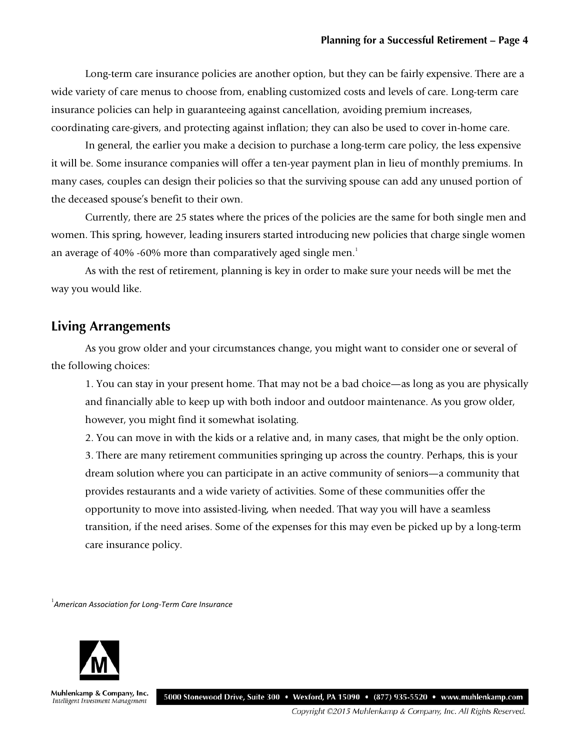Long-term care insurance policies are another option, but they can be fairly expensive. There are a wide variety of care menus to choose from, enabling customized costs and levels of care. Long-term care insurance policies can help in guaranteeing against cancellation, avoiding premium increases, coordinating care-givers, and protecting against inflation; they can also be used to cover in-home care.

In general, the earlier you make a decision to purchase a long-term care policy, the less expensive it will be. Some insurance companies will offer a ten-year payment plan in lieu of monthly premiums. In many cases, couples can design their policies so that the surviving spouse can add any unused portion of the deceased spouse's benefit to their own.

Currently, there are 25 states where the prices of the policies are the same for both single men and women. This spring, however, leading insurers started introducing new policies that charge single women an average of  $40\%$  -60% more than comparatively aged single men.<sup>1</sup>

As with the rest of retirement, planning is key in order to make sure your needs will be met the way you would like.

#### **Living Arrangements**

As you grow older and your circumstances change, you might want to consider one or several of the following choices:

1. You can stay in your present home. That may not be a bad choice—as long as you are physically and financially able to keep up with both indoor and outdoor maintenance. As you grow older, however, you might find it somewhat isolating.

2. You can move in with the kids or a relative and, in many cases, that might be the only option. 3. There are many retirement communities springing up across the country. Perhaps, this is your dream solution where you can participate in an active community of seniors—a community that provides restaurants and a wide variety of activities. Some of these communities offer the opportunity to move into assisted-living, when needed. That way you will have a seamless transition, if the need arises. Some of the expenses for this may even be picked up by a long-term care insurance policy.

1 *American Association for Long-Term Care Insurance*



Muhlenkamp & Company, Inc. Intelligent Investment Management

5000 Stonewood Drive, Suite 300 • Wexford, PA 15090 • (877) 935-5520 • www.muhlenkamp.com

Copyright ©2015 Muhlenkamp & Company, Inc. All Rights Reserved.